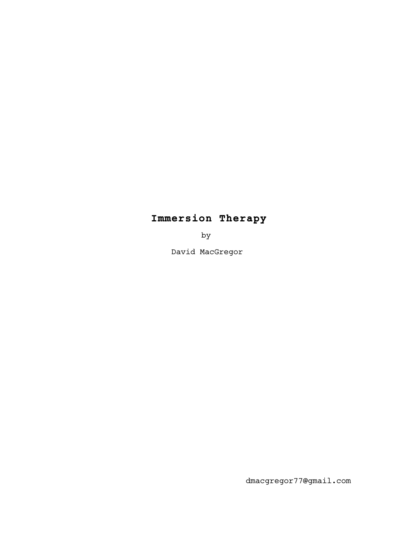# **Immersion Therapy**

by

David MacGregor

dmacgregor77@gmail.com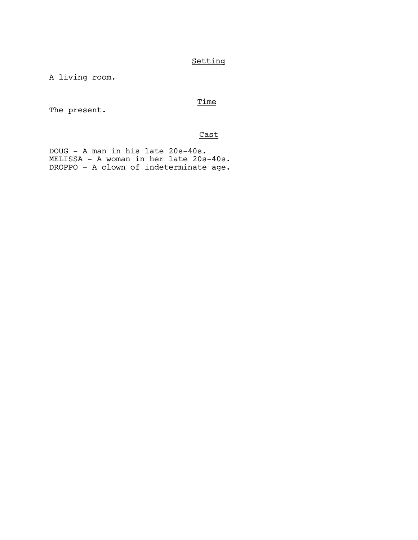# Setting

A living room.

# Time

The present.

# Cast

DOUG - A man in his late 20s-40s. MELISSA - A woman in her late 20s-40s. DROPPO - A clown of indeterminate age.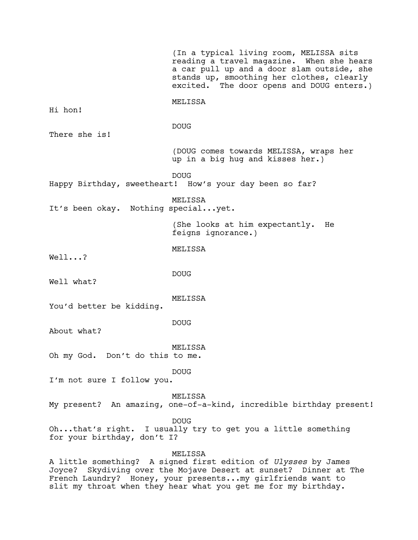|                                                                                                                                                                                                                    | (In a typical living room, MELISSA sits<br>reading a travel magazine. When she hears<br>a car pull up and a door slam outside, she<br>stands up, smoothing her clothes, clearly<br>excited. The door opens and DOUG enters.) |
|--------------------------------------------------------------------------------------------------------------------------------------------------------------------------------------------------------------------|------------------------------------------------------------------------------------------------------------------------------------------------------------------------------------------------------------------------------|
| Hi hon!                                                                                                                                                                                                            | MELISSA                                                                                                                                                                                                                      |
| There she is!                                                                                                                                                                                                      | <b>DOUG</b>                                                                                                                                                                                                                  |
|                                                                                                                                                                                                                    | (DOUG comes towards MELISSA, wraps her<br>up in a big hug and kisses her.)                                                                                                                                                   |
|                                                                                                                                                                                                                    | <b>DOUG</b><br>Happy Birthday, sweetheart! How's your day been so far?                                                                                                                                                       |
| It's been okay. Nothing specialyet.                                                                                                                                                                                | MELISSA                                                                                                                                                                                                                      |
|                                                                                                                                                                                                                    | (She looks at him expectantly.<br>He<br>feigns ignorance.)                                                                                                                                                                   |
| Well?                                                                                                                                                                                                              | MELISSA                                                                                                                                                                                                                      |
| Well what?                                                                                                                                                                                                         | <b>DOUG</b>                                                                                                                                                                                                                  |
| You'd better be kidding.                                                                                                                                                                                           | MELISSA                                                                                                                                                                                                                      |
| About what?                                                                                                                                                                                                        | <b>DOUG</b>                                                                                                                                                                                                                  |
| Oh my God. Don't do this to me.                                                                                                                                                                                    | MELISSA                                                                                                                                                                                                                      |
| I'm not sure I follow you.                                                                                                                                                                                         | <b>DOUG</b>                                                                                                                                                                                                                  |
|                                                                                                                                                                                                                    | MELISSA<br>My present? An amazing, one-of-a-kind, incredible birthday present!                                                                                                                                               |
| for your birthday, don't I?                                                                                                                                                                                        | <b>DOUG</b><br>Ohthat's right. I usually try to get you a little something                                                                                                                                                   |
| MELISSA<br>A little something? A signed first edition of <i>Ulysses</i> by James<br>Joyce? Skydiving over the Mojave Desert at sunset? Dinner at The<br>French Laundry? Honey, your presentsmy girlfriends want to |                                                                                                                                                                                                                              |

slit my throat when they hear what you get me for my birthday.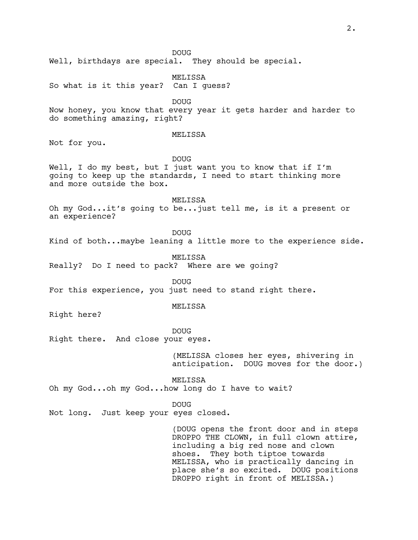Well, birthdays are special. They should be special.

MELISSA

So what is it this year? Can I guess?

DOUG

Now honey, you know that every year it gets harder and harder to do something amazing, right?

#### MELISSA

Not for you.

# DOUG

Well, I do my best, but I just want you to know that if I'm going to keep up the standards, I need to start thinking more and more outside the box.

MELISSA

Oh my God...it's going to be...just tell me, is it a present or an experience?

DOUG

Kind of both...maybe leaning a little more to the experience side.

MELISSA

Really? Do I need to pack? Where are we going?

DOUG For this experience, you just need to stand right there.

#### MELISSA

Right here?

#### DOUG

Right there. And close your eyes.

(MELISSA closes her eyes, shivering in anticipation. DOUG moves for the door.)

MELISSA

Oh my God...oh my God...how long do I have to wait?

### DOUG

Not long. Just keep your eyes closed.

(DOUG opens the front door and in steps DROPPO THE CLOWN, in full clown attire, including a big red nose and clown shoes. They both tiptoe towards MELISSA, who is practically dancing in place she's so excited. DOUG positions DROPPO right in front of MELISSA.)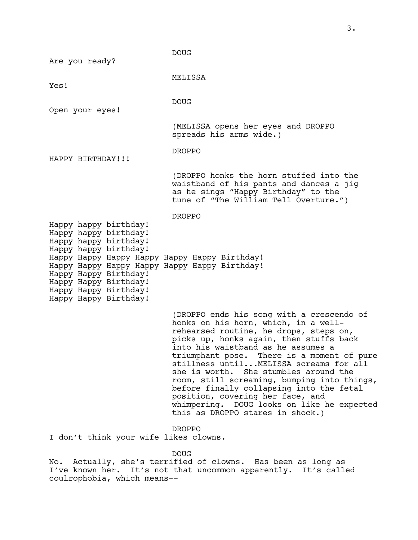DOUG Are you ready? MELISSA Yes! DOUG Open your eyes! (MELISSA opens her eyes and DROPPO spreads his arms wide.) DROPPO HAPPY BIRTHDAY!!! (DROPPO honks the horn stuffed into the waistband of his pants and dances a jig as he sings "Happy Birthday" to the tune of "The William Tell Overture.") DROPPO Happy happy birthday! Happy happy birthday! Happy happy birthday! Happy happy birthday! Happy Happy Happy Happy Happy Happy Birthday! Happy Happy Happy Happy Happy Happy Birthday! Happy Happy Birthday! Happy Happy Birthday! Happy Happy Birthday! Happy Happy Birthday! (DROPPO ends his song with a crescendo of honks on his horn, which, in a wellrehearsed routine, he drops, steps on, picks up, honks again, then stuffs back into his waistband as he assumes a triumphant pose. There is a moment of pure stillness until...MELISSA screams for all she is worth. She stumbles around the room, still screaming, bumping into things, before finally collapsing into the fetal position, covering her face, and whimpering. DOUG looks on like he expected this as DROPPO stares in shock.) DROPPO I don't think your wife likes clowns.

DOUG

No. Actually, she's terrified of clowns. Has been as long as I've known her. It's not that uncommon apparently. It's called coulrophobia, which means--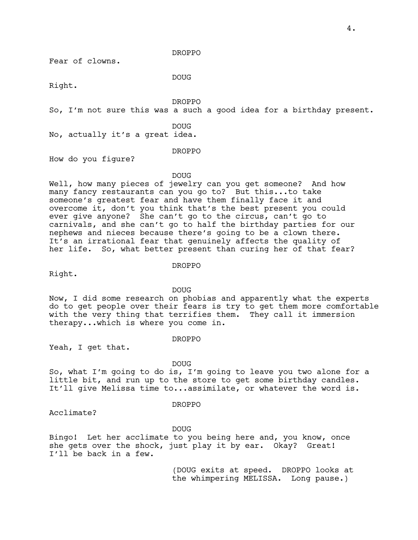Fear of clowns.

DROPPO

DOUG

Right.

DROPPO

So, I'm not sure this was a such a good idea for a birthday present.

DOUG

No, actually it's a great idea.

DROPPO

How do you figure?

DOUG

Well, how many pieces of jewelry can you get someone? And how many fancy restaurants can you go to? But this...to take someone's greatest fear and have them finally face it and overcome it, don't you think that's the best present you could ever give anyone? She can't go to the circus, can't go to carnivals, and she can't go to half the birthday parties for our nephews and nieces because there's going to be a clown there. It's an irrational fear that genuinely affects the quality of her life. So, what better present than curing her of that fear?

#### DROPPO

Right.

DOUG

Now, I did some research on phobias and apparently what the experts do to get people over their fears is try to get them more comfortable with the very thing that terrifies them. They call it immersion therapy...which is where you come in.

# DROPPO

Yeah, I get that.

#### DOUG

So, what I'm going to do is, I'm going to leave you two alone for a little bit, and run up to the store to get some birthday candles. It'll give Melissa time to...assimilate, or whatever the word is.

#### DROPPO

Acclimate?

DOUG

Bingo! Let her acclimate to you being here and, you know, once she gets over the shock, just play it by ear. Okay? Great! I'll be back in a few.

> (DOUG exits at speed. DROPPO looks at the whimpering MELISSA. Long pause.)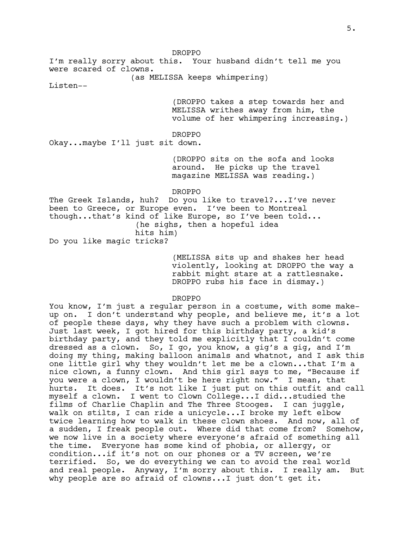DROPPO

I'm really sorry about this. Your husband didn't tell me you were scared of clowns.

(as MELISSA keeps whimpering)

Listen--

(DROPPO takes a step towards her and MELISSA writhes away from him, the volume of her whimpering increasing.)

DROPPO

Okay...maybe I'll just sit down.

(DROPPO sits on the sofa and looks around. He picks up the travel magazine MELISSA was reading.)

DROPPO

The Greek Islands, huh? Do you like to travel?...I've never been to Greece, or Europe even. I've been to Montreal though...that's kind of like Europe, so I've been told... (he sighs, then a hopeful idea

hits him)

Do you like magic tricks?

(MELISSA sits up and shakes her head violently, looking at DROPPO the way a rabbit might stare at a rattlesnake. DROPPO rubs his face in dismay.)

DROPPO

You know, I'm just a regular person in a costume, with some makeup on. I don't understand why people, and believe me, it's a lot of people these days, why they have such a problem with clowns. Just last week, I got hired for this birthday party, a kid's birthday party, and they told me explicitly that I couldn't come dressed as a clown. So, I go, you know, a gig's a gig, and I'm doing my thing, making balloon animals and whatnot, and I ask this one little girl why they wouldn't let me be a clown...that I'm a nice clown, a funny clown. And this girl says to me, "Because if you were a clown, I wouldn't be here right now." I mean, that hurts. It does. It's not like I just put on this outfit and call myself a clown. I went to Clown College...I did...studied the films of Charlie Chaplin and The Three Stooges. I can juggle, walk on stilts, I can ride a unicycle...I broke my left elbow twice learning how to walk in these clown shoes. And now, all of a sudden, I freak people out. Where did that come from? Somehow, we now live in a society where everyone's afraid of something all the time. Everyone has some kind of phobia, or allergy, or condition...if it's not on our phones or a TV screen, we're terrified. So, we do everything we can to avoid the real world and real people. Anyway, I'm sorry about this. I really am. But why people are so afraid of clowns...I just don't get it.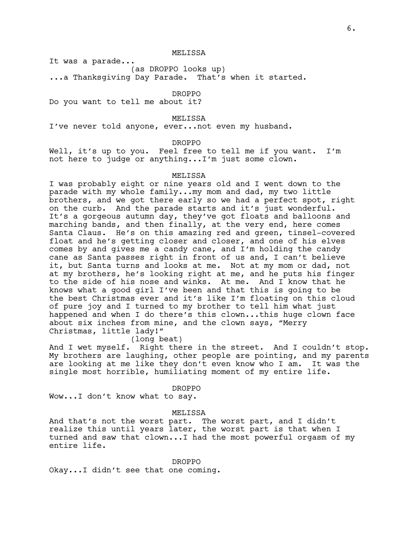MELISSA

It was a parade...

(as DROPPO looks up)

...a Thanksgiving Day Parade. That's when it started.

DROPPO

Do you want to tell me about it?

### MELISSA

I've never told anyone, ever...not even my husband.

# DROPPO

Well, it's up to you. Feel free to tell me if you want. I'm not here to judge or anything...I'm just some clown.

## MELISSA

I was probably eight or nine years old and I went down to the parade with my whole family...my mom and dad, my two little brothers, and we got there early so we had a perfect spot, right on the curb. And the parade starts and it's just wonderful. It's a gorgeous autumn day, they've got floats and balloons and marching bands, and then finally, at the very end, here comes Santa Claus. He's on this amazing red and green, tinsel-covered float and he's getting closer and closer, and one of his elves comes by and gives me a candy cane, and I'm holding the candy cane as Santa passes right in front of us and, I can't believe it, but Santa turns and looks at me. Not at my mom or dad, not at my brothers, he's looking right at me, and he puts his finger to the side of his nose and winks. At me. And I know that he knows what a good girl I've been and that this is going to be the best Christmas ever and it's like I'm floating on this cloud of pure joy and I turned to my brother to tell him what just happened and when I do there's this clown...this huge clown face about six inches from mine, and the clown says, "Merry Christmas, little lady!"

# (long beat)

And I wet myself. Right there in the street. And I couldn't stop. My brothers are laughing, other people are pointing, and my parents are looking at me like they don't even know who I am. It was the single most horrible, humiliating moment of my entire life.

DROPPO

Wow...I don't know what to say.

#### MELISSA

And that's not the worst part. The worst part, and I didn't realize this until years later, the worst part is that when I turned and saw that clown...I had the most powerful orgasm of my entire life.

DROPPO Okay...I didn't see that one coming.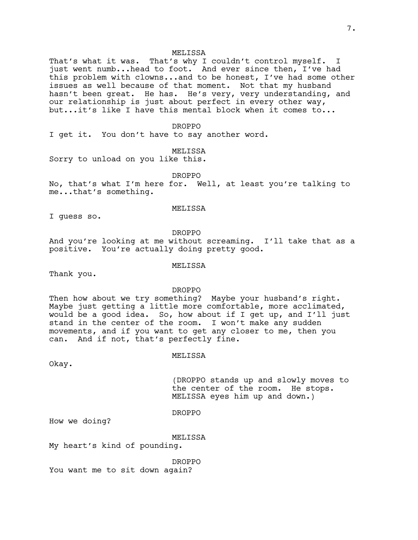#### **MELISSA**

That's what it was. That's why I couldn't control myself. I just went numb...head to foot. And ever since then, I've had this problem with clowns...and to be honest, I've had some other issues as well because of that moment. Not that my husband hasn't been great. He has. He's very, very understanding, and our relationship is just about perfect in every other way, but...it's like I have this mental block when it comes to...

#### DROPPO

I get it. You don't have to say another word.

MELISSA

Sorry to unload on you like this.

DROPPO

No, that's what I'm here for. Well, at least you're talking to me...that's something.

#### MELISSA

I guess so.

DROPPO

And you're looking at me without screaming. I'll take that as a positive. You're actually doing pretty good.

## MELISSA

Thank you.

DROPPO

Then how about we try something? Maybe your husband's right. Maybe just getting a little more comfortable, more acclimated, would be a good idea. So, how about if I get up, and I'll just stand in the center of the room. I won't make any sudden movements, and if you want to get any closer to me, then you can. And if not, that's perfectly fine.

#### MELISSA

Okay.

(DROPPO stands up and slowly moves to the center of the room. He stops. MELISSA eyes him up and down.)

# DROPPO

How we doing?

#### MELISSA

My heart's kind of pounding.

DROPPO You want me to sit down again?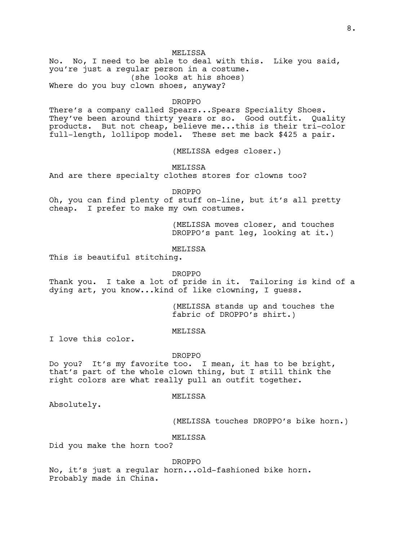#### **MELISSA**

No. No, I need to be able to deal with this. Like you said, you're just a regular person in a costume. (she looks at his shoes) Where do you buy clown shoes, anyway?

#### DROPPO

There's a company called Spears...Spears Speciality Shoes. They've been around thirty years or so. Good outfit. Quality products. But not cheap, believe me...this is their tri-color full-length, lollipop model. These set me back \$425 a pair.

(MELISSA edges closer.)

MELISSA

And are there specialty clothes stores for clowns too?

DROPPO

Oh, you can find plenty of stuff on-line, but it's all pretty cheap. I prefer to make my own costumes.

> (MELISSA moves closer, and touches DROPPO's pant leg, looking at it.)

# MELISSA

This is beautiful stitching.

#### DROPPO

Thank you. I take a lot of pride in it. Tailoring is kind of a dying art, you know...kind of like clowning, I guess.

> (MELISSA stands up and touches the fabric of DROPPO's shirt.)

#### MELISSA

I love this color.

#### DROPPO

Do you? It's my favorite too. I mean, it has to be bright, that's part of the whole clown thing, but I still think the right colors are what really pull an outfit together.

#### MELISSA

Absolutely.

(MELISSA touches DROPPO's bike horn.)

#### MELISSA

Did you make the horn too?

#### DROPPO

No, it's just a regular horn...old-fashioned bike horn. Probably made in China.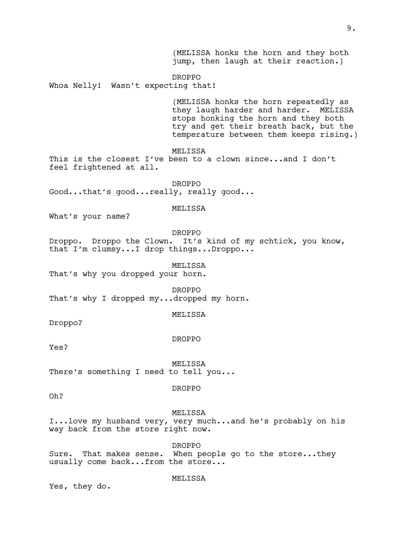(MELISSA honks the horn and they both jump, then laugh at their reaction.) DROPPO Whoa Nelly! Wasn't expecting that! (MELISSA honks the horn repeatedly as they laugh harder and harder. MELISSA stops honking the horn and they both try and get their breath back, but the temperature between them keeps rising.) MELISSA This is the closest I've been to a clown since...and I don't feel frightened at all. DROPPO Good...that's good...really, really good... MELISSA What's your name? DROPPO Droppo. Droppo the Clown. It's kind of my schtick, you know, that I'm clumsy...I drop things...Droppo... MELISSA That's why you dropped your horn. DROPPO That's why I dropped my...dropped my horn. MELISSA Droppo? DROPPO Yes? MELISSA There's something I need to tell you... DROPPO Oh? MELISSA I...love my husband very, very much...and he's probably on his way back from the store right now. DROPPO Sure. That makes sense. When people go to the store...they usually come back...from the store... MELISSA

Yes, they do.

# 9.